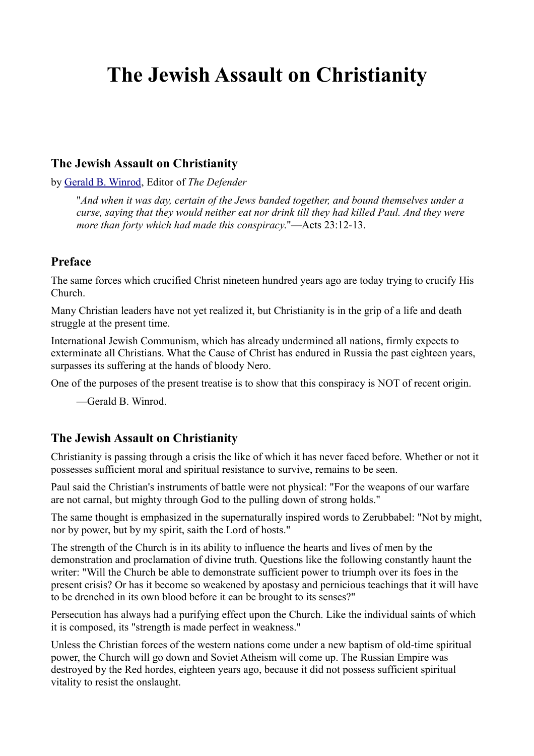# **The Jewish Assault on Christianity**

## **The Jewish Assault on Christianity**

by [Gerald B. Winrod,](http://greatwhitedesert.org/dir/index.php?title=Dr._Gerald_B._Winrod) Editor of *The Defender*

"*And when it was day, certain of the Jews banded together, and bound themselves under a curse, saying that they would neither eat nor drink till they had killed Paul. And they were more than forty which had made this conspiracy*."—Acts 23:12-13.

# **Preface**

The same forces which crucified Christ nineteen hundred years ago are today trying to crucify His Church.

Many Christian leaders have not yet realized it, but Christianity is in the grip of a life and death struggle at the present time.

International Jewish Communism, which has already undermined all nations, firmly expects to exterminate all Christians. What the Cause of Christ has endured in Russia the past eighteen years, surpasses its suffering at the hands of bloody Nero.

One of the purposes of the present treatise is to show that this conspiracy is NOT of recent origin.

—Gerald B. Winrod.

#### **The Jewish Assault on Christianity**

Christianity is passing through a crisis the like of which it has never faced before. Whether or not it possesses sufficient moral and spiritual resistance to survive, remains to be seen.

Paul said the Christian's instruments of battle were not physical: "For the weapons of our warfare are not carnal, but mighty through God to the pulling down of strong holds."

The same thought is emphasized in the supernaturally inspired words to Zerubbabel: "Not by might, nor by power, but by my spirit, saith the Lord of hosts."

The strength of the Church is in its ability to influence the hearts and lives of men by the demonstration and proclamation of divine truth. Questions like the following constantly haunt the writer: "Will the Church be able to demonstrate sufficient power to triumph over its foes in the present crisis? Or has it become so weakened by apostasy and pernicious teachings that it will have to be drenched in its own blood before it can be brought to its senses?"

Persecution has always had a purifying effect upon the Church. Like the individual saints of which it is composed, its "strength is made perfect in weakness."

Unless the Christian forces of the western nations come under a new baptism of old-time spiritual power, the Church will go down and Soviet Atheism will come up. The Russian Empire was destroyed by the Red hordes, eighteen years ago, because it did not possess sufficient spiritual vitality to resist the onslaught.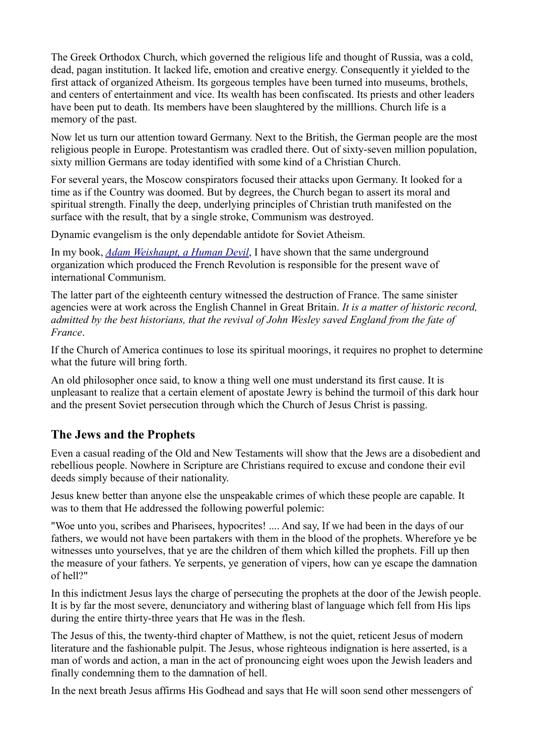The Greek Orthodox Church, which governed the religious life and thought of Russia, was a cold, dead, pagan institution. It lacked life, emotion and creative energy. Consequently it yielded to the first attack of organized Atheism. Its gorgeous temples have been turned into museums, brothels, and centers of entertainment and vice. Its wealth has been confiscated. Its priests and other leaders have been put to death. Its members have been slaughtered by the milllions. Church life is a memory of the past.

Now let us turn our attention toward Germany. Next to the British, the German people are the most religious people in Europe. Protestantism was cradled there. Out of sixty-seven million population, sixty million Germans are today identified with some kind of a Christian Church.

For several years, the Moscow conspirators focused their attacks upon Germany. It looked for a time as if the Country was doomed. But by degrees, the Church began to assert its moral and spiritual strength. Finally the deep, underlying principles of Christian truth manifested on the surface with the result, that by a single stroke, Communism was destroyed.

Dynamic evangelism is the only dependable antidote for Soviet Atheism.

In my book, *[Adam Weishaupt, a Human Devil](http://greatwhitedesert.org/dir/index.php?title=Adam_Weishaupt,_a_Human_Devil)*, I have shown that the same underground organization which produced the French Revolution is responsible for the present wave of international Communism.

The latter part of the eighteenth century witnessed the destruction of France. The same sinister agencies were at work across the English Channel in Great Britain. *It is a matter of historic record, admitted by the best historians, that the revival of John Wesley saved England from the fate of France*.

If the Church of America continues to lose its spiritual moorings, it requires no prophet to determine what the future will bring forth.

An old philosopher once said, to know a thing well one must understand its first cause. It is unpleasant to realize that a certain element of apostate Jewry is behind the turmoil of this dark hour and the present Soviet persecution through which the Church of Jesus Christ is passing.

# **The Jews and the Prophets**

Even a casual reading of the Old and New Testaments will show that the Jews are a disobedient and rebellious people. Nowhere in Scripture are Christians required to excuse and condone their evil deeds simply because of their nationality.

Jesus knew better than anyone else the unspeakable crimes of which these people are capable. It was to them that He addressed the following powerful polemic:

"Woe unto you, scribes and Pharisees, hypocrites! .... And say, If we had been in the days of our fathers, we would not have been partakers with them in the blood of the prophets. Wherefore ye be witnesses unto yourselves, that ye are the children of them which killed the prophets. Fill up then the measure of your fathers. Ye serpents, ye generation of vipers, how can ye escape the damnation of hell?"

In this indictment Jesus lays the charge of persecuting the prophets at the door of the Jewish people. It is by far the most severe, denunciatory and withering blast of language which fell from His lips during the entire thirty-three years that He was in the flesh.

The Jesus of this, the twenty-third chapter of Matthew, is not the quiet, reticent Jesus of modern literature and the fashionable pulpit. The Jesus, whose righteous indignation is here asserted, is a man of words and action, a man in the act of pronouncing eight woes upon the Jewish leaders and finally condemning them to the damnation of hell.

In the next breath Jesus affirms His Godhead and says that He will soon send other messengers of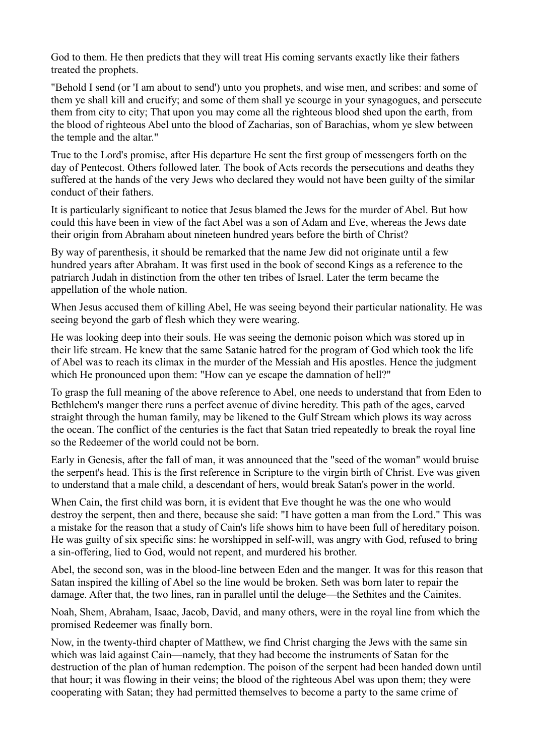God to them. He then predicts that they will treat His coming servants exactly like their fathers treated the prophets.

"Behold I send (or 'I am about to send') unto you prophets, and wise men, and scribes: and some of them ye shall kill and crucify; and some of them shall ye scourge in your synagogues, and persecute them from city to city; That upon you may come all the righteous blood shed upon the earth, from the blood of righteous Abel unto the blood of Zacharias, son of Barachias, whom ye slew between the temple and the altar."

True to the Lord's promise, after His departure He sent the first group of messengers forth on the day of Pentecost. Others followed later. The book of Acts records the persecutions and deaths they suffered at the hands of the very Jews who declared they would not have been guilty of the similar conduct of their fathers.

It is particularly significant to notice that Jesus blamed the Jews for the murder of Abel. But how could this have been in view of the fact Abel was a son of Adam and Eve, whereas the Jews date their origin from Abraham about nineteen hundred years before the birth of Christ?

By way of parenthesis, it should be remarked that the name Jew did not originate until a few hundred years after Abraham. It was first used in the book of second Kings as a reference to the patriarch Judah in distinction from the other ten tribes of Israel. Later the term became the appellation of the whole nation.

When Jesus accused them of killing Abel, He was seeing beyond their particular nationality. He was seeing beyond the garb of flesh which they were wearing.

He was looking deep into their souls. He was seeing the demonic poison which was stored up in their life stream. He knew that the same Satanic hatred for the program of God which took the life of Abel was to reach its climax in the murder of the Messiah and His apostles. Hence the judgment which He pronounced upon them: "How can ye escape the damnation of hell?"

To grasp the full meaning of the above reference to Abel, one needs to understand that from Eden to Bethlehem's manger there runs a perfect avenue of divine heredity. This path of the ages, carved straight through the human family, may be likened to the Gulf Stream which plows its way across the ocean. The conflict of the centuries is the fact that Satan tried repeatedly to break the royal line so the Redeemer of the world could not be born.

Early in Genesis, after the fall of man, it was announced that the "seed of the woman" would bruise the serpent's head. This is the first reference in Scripture to the virgin birth of Christ. Eve was given to understand that a male child, a descendant of hers, would break Satan's power in the world.

When Cain, the first child was born, it is evident that Eve thought he was the one who would destroy the serpent, then and there, because she said: "I have gotten a man from the Lord." This was a mistake for the reason that a study of Cain's life shows him to have been full of hereditary poison. He was guilty of six specific sins: he worshipped in self-will, was angry with God, refused to bring a sin-offering, lied to God, would not repent, and murdered his brother.

Abel, the second son, was in the blood-line between Eden and the manger. It was for this reason that Satan inspired the killing of Abel so the line would be broken. Seth was born later to repair the damage. After that, the two lines, ran in parallel until the deluge—the Sethites and the Cainites.

Noah, Shem, Abraham, Isaac, Jacob, David, and many others, were in the royal line from which the promised Redeemer was finally born.

Now, in the twenty-third chapter of Matthew, we find Christ charging the Jews with the same sin which was laid against Cain—namely, that they had become the instruments of Satan for the destruction of the plan of human redemption. The poison of the serpent had been handed down until that hour; it was flowing in their veins; the blood of the righteous Abel was upon them; they were cooperating with Satan; they had permitted themselves to become a party to the same crime of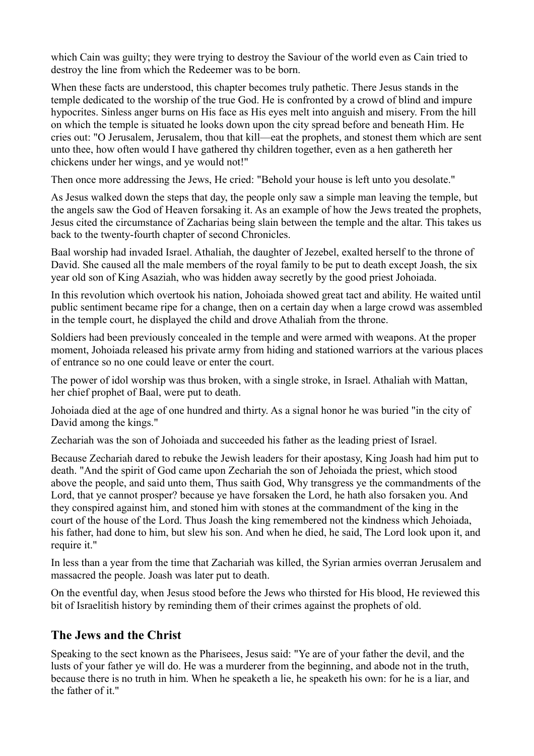which Cain was guilty; they were trying to destroy the Saviour of the world even as Cain tried to destroy the line from which the Redeemer was to be born.

When these facts are understood, this chapter becomes truly pathetic. There Jesus stands in the temple dedicated to the worship of the true God. He is confronted by a crowd of blind and impure hypocrites. Sinless anger burns on His face as His eyes melt into anguish and misery. From the hill on which the temple is situated he looks down upon the city spread before and beneath Him. He cries out: "O Jerusalem, Jerusalem, thou that kill—eat the prophets, and stonest them which are sent unto thee, how often would I have gathered thy children together, even as a hen gathereth her chickens under her wings, and ye would not!"

Then once more addressing the Jews, He cried: "Behold your house is left unto you desolate."

As Jesus walked down the steps that day, the people only saw a simple man leaving the temple, but the angels saw the God of Heaven forsaking it. As an example of how the Jews treated the prophets, Jesus cited the circumstance of Zacharias being slain between the temple and the altar. This takes us back to the twenty-fourth chapter of second Chronicles.

Baal worship had invaded Israel. Athaliah, the daughter of Jezebel, exalted herself to the throne of David. She caused all the male members of the royal family to be put to death except Joash, the six year old son of King Asaziah, who was hidden away secretly by the good priest Johoiada.

In this revolution which overtook his nation, Johoiada showed great tact and ability. He waited until public sentiment became ripe for a change, then on a certain day when a large crowd was assembled in the temple court, he displayed the child and drove Athaliah from the throne.

Soldiers had been previously concealed in the temple and were armed with weapons. At the proper moment, Johoiada released his private army from hiding and stationed warriors at the various places of entrance so no one could leave or enter the court.

The power of idol worship was thus broken, with a single stroke, in Israel. Athaliah with Mattan, her chief prophet of Baal, were put to death.

Johoiada died at the age of one hundred and thirty. As a signal honor he was buried "in the city of David among the kings."

Zechariah was the son of Johoiada and succeeded his father as the leading priest of Israel.

Because Zechariah dared to rebuke the Jewish leaders for their apostasy, King Joash had him put to death. "And the spirit of God came upon Zechariah the son of Jehoiada the priest, which stood above the people, and said unto them, Thus saith God, Why transgress ye the commandments of the Lord, that ye cannot prosper? because ye have forsaken the Lord, he hath also forsaken you. And they conspired against him, and stoned him with stones at the commandment of the king in the court of the house of the Lord. Thus Joash the king remembered not the kindness which Jehoiada, his father, had done to him, but slew his son. And when he died, he said, The Lord look upon it, and require it."

In less than a year from the time that Zachariah was killed, the Syrian armies overran Jerusalem and massacred the people. Joash was later put to death.

On the eventful day, when Jesus stood before the Jews who thirsted for His blood, He reviewed this bit of Israelitish history by reminding them of their crimes against the prophets of old.

#### **The Jews and the Christ**

Speaking to the sect known as the Pharisees, Jesus said: "Ye are of your father the devil, and the lusts of your father ye will do. He was a murderer from the beginning, and abode not in the truth, because there is no truth in him. When he speaketh a lie, he speaketh his own: for he is a liar, and the father of it."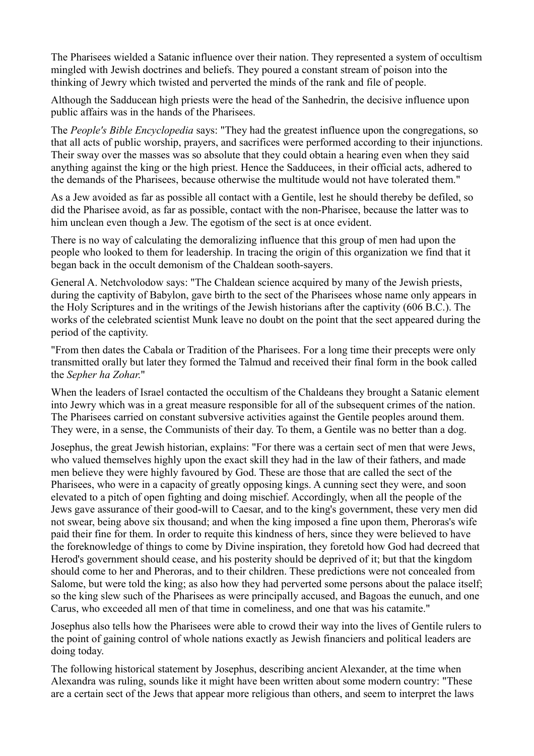The Pharisees wielded a Satanic influence over their nation. They represented a system of occultism mingled with Jewish doctrines and beliefs. They poured a constant stream of poison into the thinking of Jewry which twisted and perverted the minds of the rank and file of people.

Although the Sadducean high priests were the head of the Sanhedrin, the decisive influence upon public affairs was in the hands of the Pharisees.

The *People's Bible Encyclopedia* says: "They had the greatest influence upon the congregations, so that all acts of public worship, prayers, and sacrifices were performed according to their injunctions. Their sway over the masses was so absolute that they could obtain a hearing even when they said anything against the king or the high priest. Hence the Sadducees, in their official acts, adhered to the demands of the Pharisees, because otherwise the multitude would not have tolerated them."

As a Jew avoided as far as possible all contact with a Gentile, lest he should thereby be defiled, so did the Pharisee avoid, as far as possible, contact with the non-Pharisee, because the latter was to him unclean even though a Jew. The egotism of the sect is at once evident.

There is no way of calculating the demoralizing influence that this group of men had upon the people who looked to them for leadership. In tracing the origin of this organization we find that it began back in the occult demonism of the Chaldean sooth-sayers.

General A. Netchvolodow says: "The Chaldean science acquired by many of the Jewish priests, during the captivity of Babylon, gave birth to the sect of the Pharisees whose name only appears in the Holy Scriptures and in the writings of the Jewish historians after the captivity (606 B.C.). The works of the celebrated scientist Munk leave no doubt on the point that the sect appeared during the period of the captivity.

"From then dates the Cabala or Tradition of the Pharisees. For a long time their precepts were only transmitted orally but later they formed the Talmud and received their final form in the book called the *Sepher ha Zohar*."

When the leaders of Israel contacted the occultism of the Chaldeans they brought a Satanic element into Jewry which was in a great measure responsible for all of the subsequent crimes of the nation. The Pharisees carried on constant subversive activities against the Gentile peoples around them. They were, in a sense, the Communists of their day. To them, a Gentile was no better than a dog.

Josephus, the great Jewish historian, explains: "For there was a certain sect of men that were Jews, who valued themselves highly upon the exact skill they had in the law of their fathers, and made men believe they were highly favoured by God. These are those that are called the sect of the Pharisees, who were in a capacity of greatly opposing kings. A cunning sect they were, and soon elevated to a pitch of open fighting and doing mischief. Accordingly, when all the people of the Jews gave assurance of their good-will to Caesar, and to the king's government, these very men did not swear, being above six thousand; and when the king imposed a fine upon them, Pheroras's wife paid their fine for them. In order to requite this kindness of hers, since they were believed to have the foreknowledge of things to come by Divine inspiration, they foretold how God had decreed that Herod's government should cease, and his posterity should be deprived of it; but that the kingdom should come to her and Pheroras, and to their children. These predictions were not concealed from Salome, but were told the king; as also how they had perverted some persons about the palace itself; so the king slew such of the Pharisees as were principally accused, and Bagoas the eunuch, and one Carus, who exceeded all men of that time in comeliness, and one that was his catamite."

Josephus also tells how the Pharisees were able to crowd their way into the lives of Gentile rulers to the point of gaining control of whole nations exactly as Jewish financiers and political leaders are doing today.

The following historical statement by Josephus, describing ancient Alexander, at the time when Alexandra was ruling, sounds like it might have been written about some modern country: "These are a certain sect of the Jews that appear more religious than others, and seem to interpret the laws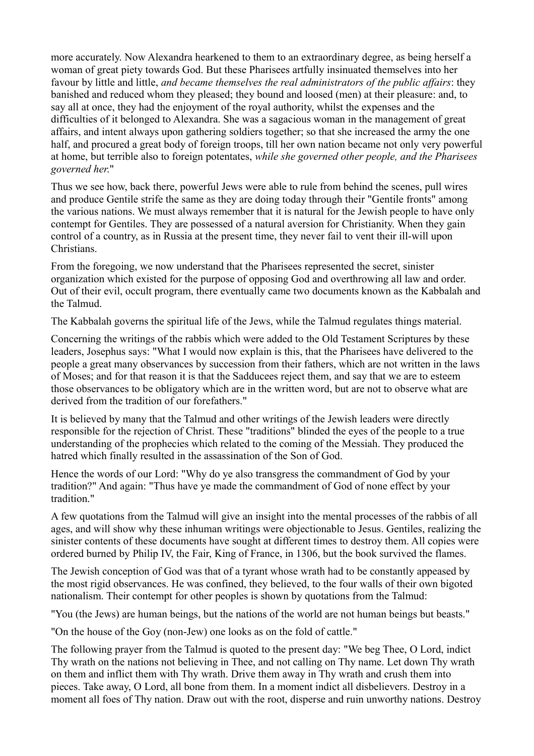more accurately. Now Alexandra hearkened to them to an extraordinary degree, as being herself a woman of great piety towards God. But these Pharisees artfully insinuated themselves into her favour by little and little, *and became themselves the real administrators of the public affairs*: they banished and reduced whom they pleased; they bound and loosed (men) at their pleasure: and, to say all at once, they had the enjoyment of the royal authority, whilst the expenses and the difficulties of it belonged to Alexandra. She was a sagacious woman in the management of great affairs, and intent always upon gathering soldiers together; so that she increased the army the one half, and procured a great body of foreign troops, till her own nation became not only very powerful at home, but terrible also to foreign potentates, *while she governed other people, and the Pharisees governed her*."

Thus we see how, back there, powerful Jews were able to rule from behind the scenes, pull wires and produce Gentile strife the same as they are doing today through their "Gentile fronts" among the various nations. We must always remember that it is natural for the Jewish people to have only contempt for Gentiles. They are possessed of a natural aversion for Christianity. When they gain control of a country, as in Russia at the present time, they never fail to vent their ill-will upon Christians.

From the foregoing, we now understand that the Pharisees represented the secret, sinister organization which existed for the purpose of opposing God and overthrowing all law and order. Out of their evil, occult program, there eventually came two documents known as the Kabbalah and the Talmud.

The Kabbalah governs the spiritual life of the Jews, while the Talmud regulates things material.

Concerning the writings of the rabbis which were added to the Old Testament Scriptures by these leaders, Josephus says: "What I would now explain is this, that the Pharisees have delivered to the people a great many observances by succession from their fathers, which are not written in the laws of Moses; and for that reason it is that the Sadducees reject them, and say that we are to esteem those observances to be obligatory which are in the written word, but are not to observe what are derived from the tradition of our forefathers."

It is believed by many that the Talmud and other writings of the Jewish leaders were directly responsible for the rejection of Christ. These "traditions" blinded the eyes of the people to a true understanding of the prophecies which related to the coming of the Messiah. They produced the hatred which finally resulted in the assassination of the Son of God.

Hence the words of our Lord: "Why do ye also transgress the commandment of God by your tradition?" And again: "Thus have ye made the commandment of God of none effect by your tradition."

A few quotations from the Talmud will give an insight into the mental processes of the rabbis of all ages, and will show why these inhuman writings were objectionable to Jesus. Gentiles, realizing the sinister contents of these documents have sought at different times to destroy them. All copies were ordered burned by Philip IV, the Fair, King of France, in 1306, but the book survived the flames.

The Jewish conception of God was that of a tyrant whose wrath had to be constantly appeased by the most rigid observances. He was confined, they believed, to the four walls of their own bigoted nationalism. Their contempt for other peoples is shown by quotations from the Talmud:

"You (the Jews) are human beings, but the nations of the world are not human beings but beasts."

"On the house of the Goy (non-Jew) one looks as on the fold of cattle."

The following prayer from the Talmud is quoted to the present day: "We beg Thee, O Lord, indict Thy wrath on the nations not believing in Thee, and not calling on Thy name. Let down Thy wrath on them and inflict them with Thy wrath. Drive them away in Thy wrath and crush them into pieces. Take away, O Lord, all bone from them. In a moment indict all disbelievers. Destroy in a moment all foes of Thy nation. Draw out with the root, disperse and ruin unworthy nations. Destroy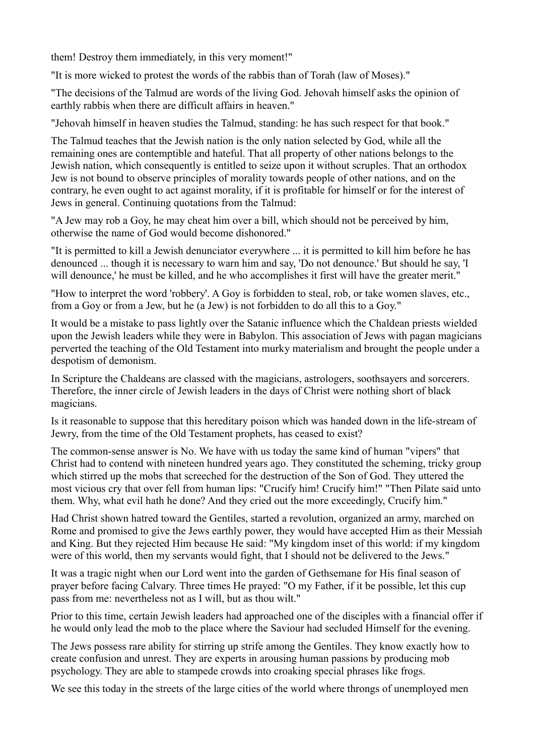them! Destroy them immediately, in this very moment!"

"It is more wicked to protest the words of the rabbis than of Torah (law of Moses)."

"The decisions of the Talmud are words of the living God. Jehovah himself asks the opinion of earthly rabbis when there are difficult affairs in heaven."

"Jehovah himself in heaven studies the Talmud, standing: he has such respect for that book."

The Talmud teaches that the Jewish nation is the only nation selected by God, while all the remaining ones are contemptible and hateful. That all property of other nations belongs to the Jewish nation, which consequently is entitled to seize upon it without scruples. That an orthodox Jew is not bound to observe principles of morality towards people of other nations, and on the contrary, he even ought to act against morality, if it is profitable for himself or for the interest of Jews in general. Continuing quotations from the Talmud:

"A Jew may rob a Goy, he may cheat him over a bill, which should not be perceived by him, otherwise the name of God would become dishonored."

"It is permitted to kill a Jewish denunciator everywhere ... it is permitted to kill him before he has denounced ... though it is necessary to warn him and say, 'Do not denounce.' But should he say, 'I will denounce,' he must be killed, and he who accomplishes it first will have the greater merit."

"How to interpret the word 'robbery'. A Goy is forbidden to steal, rob, or take women slaves, etc., from a Goy or from a Jew, but he (a Jew) is not forbidden to do all this to a Goy."

It would be a mistake to pass lightly over the Satanic influence which the Chaldean priests wielded upon the Jewish leaders while they were in Babylon. This association of Jews with pagan magicians perverted the teaching of the Old Testament into murky materialism and brought the people under a despotism of demonism.

In Scripture the Chaldeans are classed with the magicians, astrologers, soothsayers and sorcerers. Therefore, the inner circle of Jewish leaders in the days of Christ were nothing short of black magicians.

Is it reasonable to suppose that this hereditary poison which was handed down in the life-stream of Jewry, from the time of the Old Testament prophets, has ceased to exist?

The common-sense answer is No. We have with us today the same kind of human "vipers" that Christ had to contend with nineteen hundred years ago. They constituted the scheming, tricky group which stirred up the mobs that screeched for the destruction of the Son of God. They uttered the most vicious cry that over fell from human lips: "Crucify him! Crucify him!" "Then Pilate said unto them. Why, what evil hath he done? And they cried out the more exceedingly, Crucify him."

Had Christ shown hatred toward the Gentiles, started a revolution, organized an army, marched on Rome and promised to give the Jews earthly power, they would have accepted Him as their Messiah and King. But they rejected Him because He said: "My kingdom inset of this world: if my kingdom were of this world, then my servants would fight, that I should not be delivered to the Jews."

It was a tragic night when our Lord went into the garden of Gethsemane for His final season of prayer before facing Calvary. Three times He prayed: "O my Father, if it be possible, let this cup pass from me: nevertheless not as I will, but as thou wilt."

Prior to this time, certain Jewish leaders had approached one of the disciples with a financial offer if he would only lead the mob to the place where the Saviour had secluded Himself for the evening.

The Jews possess rare ability for stirring up strife among the Gentiles. They know exactly how to create confusion and unrest. They are experts in arousing human passions by producing mob psychology. They are able to stampede crowds into croaking special phrases like frogs.

We see this today in the streets of the large cities of the world where throngs of unemployed men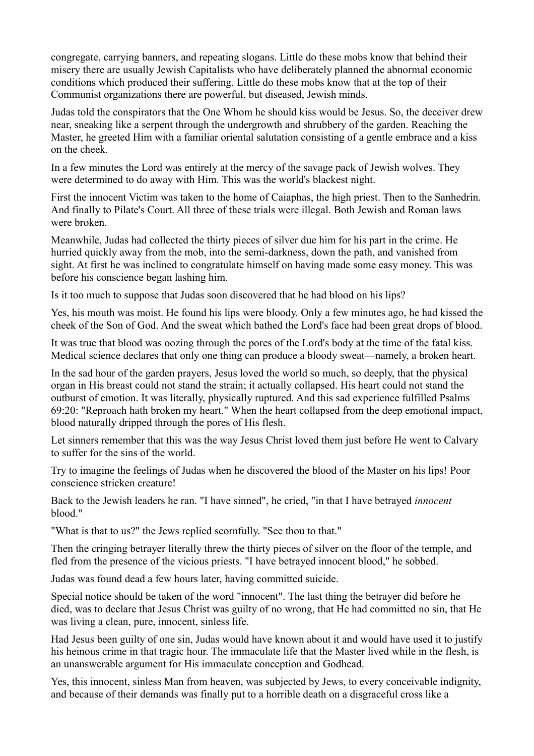congregate, carrying banners, and repeating slogans. Little do these mobs know that behind their misery there are usually Jewish Capitalists who have deliberately planned the abnormal economic conditions which produced their suffering. Little do these mobs know that at the top of their Communist organizations there are powerful, but diseased, Jewish minds.

Judas told the conspirators that the One Whom he should kiss would be Jesus. So, the deceiver drew near, sneaking like a serpent through the undergrowth and shrubbery of the garden. Reaching the Master, he greeted Him with a familiar oriental salutation consisting of a gentle embrace and a kiss on the cheek.

In a few minutes the Lord was entirely at the mercy of the savage pack of Jewish wolves. They were determined to do away with Him. This was the world's blackest night.

First the innocent Victim was taken to the home of Caiaphas, the high priest. Then to the Sanhedrin. And finally to Pilate's Court. All three of these trials were illegal. Both Jewish and Roman laws were broken.

Meanwhile, Judas had collected the thirty pieces of silver due him for his part in the crime. He hurried quickly away from the mob, into the semi-darkness, down the path, and vanished from sight. At first he was inclined to congratulate himself on having made some easy money. This was before his conscience began lashing him.

Is it too much to suppose that Judas soon discovered that he had blood on his lips?

Yes, his mouth was moist. He found his lips were bloody. Only a few minutes ago, he had kissed the cheek of the Son of God. And the sweat which bathed the Lord's face had been great drops of blood.

It was true that blood was oozing through the pores of the Lord's body at the time of the fatal kiss. Medical science declares that only one thing can produce a bloody sweat—namely, a broken heart.

In the sad hour of the garden prayers, Jesus loved the world so much, so deeply, that the physical organ in His breast could not stand the strain; it actually collapsed. His heart could not stand the outburst of emotion. It was literally, physically ruptured. And this sad experience fulfilled Psalms 69:20: "Reproach hath broken my heart." When the heart collapsed from the deep emotional impact, blood naturally dripped through the pores of His flesh.

Let sinners remember that this was the way Jesus Christ loved them just before He went to Calvary to suffer for the sins of the world.

Try to imagine the feelings of Judas when he discovered the blood of the Master on his lips! Poor conscience stricken creature!

Back to the Jewish leaders he ran. "I have sinned", he cried, "in that I have betrayed *innocent* blood."

"What is that to us?" the Jews replied scornfully. "See thou to that."

Then the cringing betrayer literally threw the thirty pieces of silver on the floor of the temple, and fled from the presence of the vicious priests. "I have betrayed innocent blood," he sobbed.

Judas was found dead a few hours later, having committed suicide.

Special notice should be taken of the word "innocent". The last thing the betrayer did before he died, was to declare that Jesus Christ was guilty of no wrong, that He had committed no sin, that He was living a clean, pure, innocent, sinless life.

Had Jesus been guilty of one sin, Judas would have known about it and would have used it to justify his heinous crime in that tragic hour. The immaculate life that the Master lived while in the flesh, is an unanswerable argument for His immaculate conception and Godhead.

Yes, this innocent, sinless Man from heaven, was subjected by Jews, to every conceivable indignity, and because of their demands was finally put to a horrible death on a disgraceful cross like a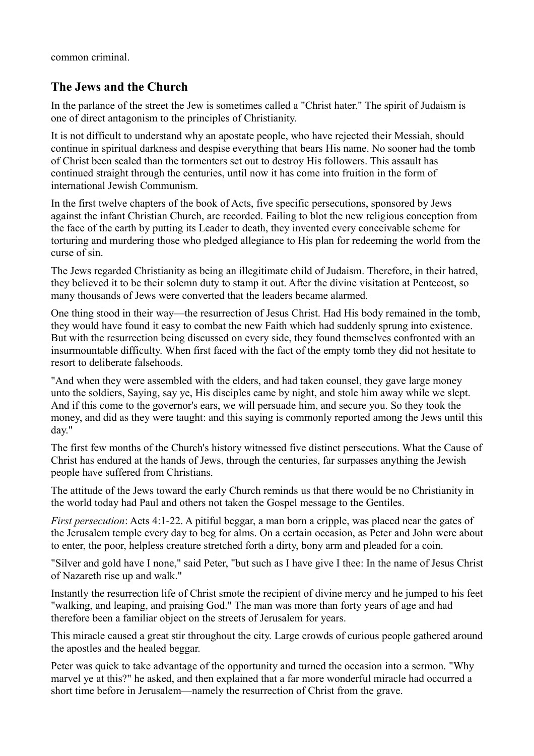common criminal.

## **The Jews and the Church**

In the parlance of the street the Jew is sometimes called a "Christ hater." The spirit of Judaism is one of direct antagonism to the principles of Christianity.

It is not difficult to understand why an apostate people, who have rejected their Messiah, should continue in spiritual darkness and despise everything that bears His name. No sooner had the tomb of Christ been sealed than the tormenters set out to destroy His followers. This assault has continued straight through the centuries, until now it has come into fruition in the form of international Jewish Communism.

In the first twelve chapters of the book of Acts, five specific persecutions, sponsored by Jews against the infant Christian Church, are recorded. Failing to blot the new religious conception from the face of the earth by putting its Leader to death, they invented every conceivable scheme for torturing and murdering those who pledged allegiance to His plan for redeeming the world from the curse of sin.

The Jews regarded Christianity as being an illegitimate child of Judaism. Therefore, in their hatred, they believed it to be their solemn duty to stamp it out. After the divine visitation at Pentecost, so many thousands of Jews were converted that the leaders became alarmed.

One thing stood in their way—the resurrection of Jesus Christ. Had His body remained in the tomb, they would have found it easy to combat the new Faith which had suddenly sprung into existence. But with the resurrection being discussed on every side, they found themselves confronted with an insurmountable difficulty. When first faced with the fact of the empty tomb they did not hesitate to resort to deliberate falsehoods.

"And when they were assembled with the elders, and had taken counsel, they gave large money unto the soldiers, Saying, say ye, His disciples came by night, and stole him away while we slept. And if this come to the governor's ears, we will persuade him, and secure you. So they took the money, and did as they were taught: and this saying is commonly reported among the Jews until this day."

The first few months of the Church's history witnessed five distinct persecutions. What the Cause of Christ has endured at the hands of Jews, through the centuries, far surpasses anything the Jewish people have suffered from Christians.

The attitude of the Jews toward the early Church reminds us that there would be no Christianity in the world today had Paul and others not taken the Gospel message to the Gentiles.

*First persecution*: Acts 4:1-22. A pitiful beggar, a man born a cripple, was placed near the gates of the Jerusalem temple every day to beg for alms. On a certain occasion, as Peter and John were about to enter, the poor, helpless creature stretched forth a dirty, bony arm and pleaded for a coin.

"Silver and gold have I none," said Peter, "but such as I have give I thee: In the name of Jesus Christ of Nazareth rise up and walk."

Instantly the resurrection life of Christ smote the recipient of divine mercy and he jumped to his feet "walking, and leaping, and praising God." The man was more than forty years of age and had therefore been a familiar object on the streets of Jerusalem for years.

This miracle caused a great stir throughout the city. Large crowds of curious people gathered around the apostles and the healed beggar.

Peter was quick to take advantage of the opportunity and turned the occasion into a sermon. "Why marvel ye at this?" he asked, and then explained that a far more wonderful miracle had occurred a short time before in Jerusalem—namely the resurrection of Christ from the grave.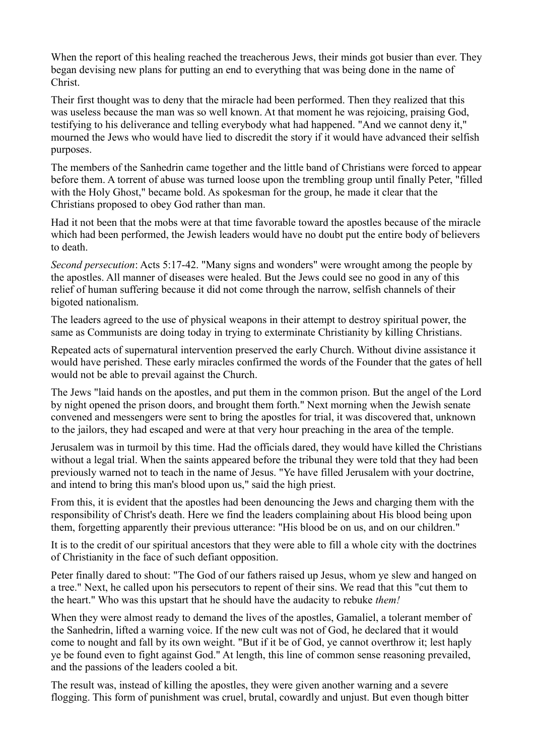When the report of this healing reached the treacherous Jews, their minds got busier than ever. They began devising new plans for putting an end to everything that was being done in the name of Christ.

Their first thought was to deny that the miracle had been performed. Then they realized that this was useless because the man was so well known. At that moment he was rejoicing, praising God, testifying to his deliverance and telling everybody what had happened. "And we cannot deny it," mourned the Jews who would have lied to discredit the story if it would have advanced their selfish purposes.

The members of the Sanhedrin came together and the little band of Christians were forced to appear before them. A torrent of abuse was turned loose upon the trembling group until finally Peter, "filled with the Holy Ghost," became bold. As spokesman for the group, he made it clear that the Christians proposed to obey God rather than man.

Had it not been that the mobs were at that time favorable toward the apostles because of the miracle which had been performed, the Jewish leaders would have no doubt put the entire body of believers to death.

*Second persecution*: Acts 5:17-42. "Many signs and wonders" were wrought among the people by the apostles. All manner of diseases were healed. But the Jews could see no good in any of this relief of human suffering because it did not come through the narrow, selfish channels of their bigoted nationalism.

The leaders agreed to the use of physical weapons in their attempt to destroy spiritual power, the same as Communists are doing today in trying to exterminate Christianity by killing Christians.

Repeated acts of supernatural intervention preserved the early Church. Without divine assistance it would have perished. These early miracles confirmed the words of the Founder that the gates of hell would not be able to prevail against the Church.

The Jews "laid hands on the apostles, and put them in the common prison. But the angel of the Lord by night opened the prison doors, and brought them forth." Next morning when the Jewish senate convened and messengers were sent to bring the apostles for trial, it was discovered that, unknown to the jailors, they had escaped and were at that very hour preaching in the area of the temple.

Jerusalem was in turmoil by this time. Had the officials dared, they would have killed the Christians without a legal trial. When the saints appeared before the tribunal they were told that they had been previously warned not to teach in the name of Jesus. "Ye have filled Jerusalem with your doctrine, and intend to bring this man's blood upon us," said the high priest.

From this, it is evident that the apostles had been denouncing the Jews and charging them with the responsibility of Christ's death. Here we find the leaders complaining about His blood being upon them, forgetting apparently their previous utterance: "His blood be on us, and on our children."

It is to the credit of our spiritual ancestors that they were able to fill a whole city with the doctrines of Christianity in the face of such defiant opposition.

Peter finally dared to shout: "The God of our fathers raised up Jesus, whom ye slew and hanged on a tree." Next, he called upon his persecutors to repent of their sins. We read that this "cut them to the heart." Who was this upstart that he should have the audacity to rebuke *them!*

When they were almost ready to demand the lives of the apostles, Gamaliel, a tolerant member of the Sanhedrin, lifted a warning voice. If the new cult was not of God, he declared that it would come to nought and fall by its own weight. "But if it be of God, ye cannot overthrow it; lest haply ye be found even to fight against God." At length, this line of common sense reasoning prevailed, and the passions of the leaders cooled a bit.

The result was, instead of killing the apostles, they were given another warning and a severe flogging. This form of punishment was cruel, brutal, cowardly and unjust. But even though bitter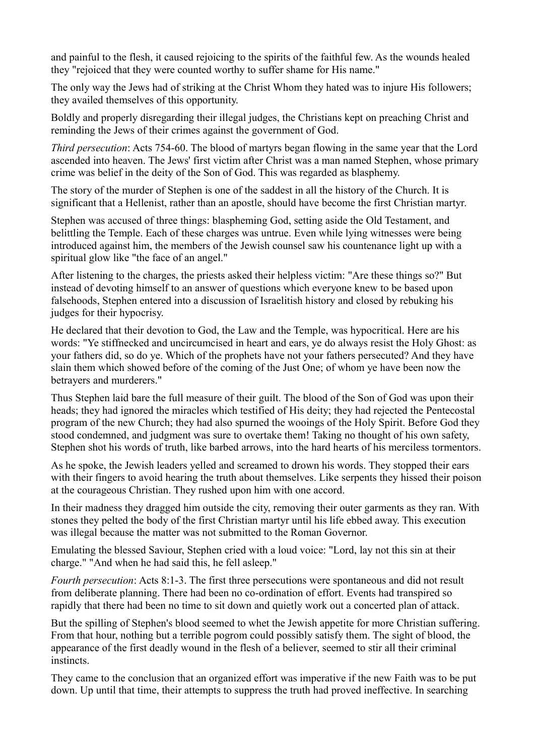and painful to the flesh, it caused rejoicing to the spirits of the faithful few. As the wounds healed they "rejoiced that they were counted worthy to suffer shame for His name."

The only way the Jews had of striking at the Christ Whom they hated was to injure His followers; they availed themselves of this opportunity.

Boldly and properly disregarding their illegal judges, the Christians kept on preaching Christ and reminding the Jews of their crimes against the government of God.

*Third persecution*: Acts 754-60. The blood of martyrs began flowing in the same year that the Lord ascended into heaven. The Jews' first victim after Christ was a man named Stephen, whose primary crime was belief in the deity of the Son of God. This was regarded as blasphemy.

The story of the murder of Stephen is one of the saddest in all the history of the Church. It is significant that a Hellenist, rather than an apostle, should have become the first Christian martyr.

Stephen was accused of three things: blaspheming God, setting aside the Old Testament, and belittling the Temple. Each of these charges was untrue. Even while lying witnesses were being introduced against him, the members of the Jewish counsel saw his countenance light up with a spiritual glow like "the face of an angel."

After listening to the charges, the priests asked their helpless victim: "Are these things so?" But instead of devoting himself to an answer of questions which everyone knew to be based upon falsehoods, Stephen entered into a discussion of Israelitish history and closed by rebuking his judges for their hypocrisy.

He declared that their devotion to God, the Law and the Temple, was hypocritical. Here are his words: "Ye stiffnecked and uncircumcised in heart and ears, ye do always resist the Holy Ghost: as your fathers did, so do ye. Which of the prophets have not your fathers persecuted? And they have slain them which showed before of the coming of the Just One; of whom ye have been now the betrayers and murderers."

Thus Stephen laid bare the full measure of their guilt. The blood of the Son of God was upon their heads; they had ignored the miracles which testified of His deity; they had rejected the Pentecostal program of the new Church; they had also spurned the wooings of the Holy Spirit. Before God they stood condemned, and judgment was sure to overtake them! Taking no thought of his own safety, Stephen shot his words of truth, like barbed arrows, into the hard hearts of his merciless tormentors.

As he spoke, the Jewish leaders yelled and screamed to drown his words. They stopped their ears with their fingers to avoid hearing the truth about themselves. Like serpents they hissed their poison at the courageous Christian. They rushed upon him with one accord.

In their madness they dragged him outside the city, removing their outer garments as they ran. With stones they pelted the body of the first Christian martyr until his life ebbed away. This execution was illegal because the matter was not submitted to the Roman Governor.

Emulating the blessed Saviour, Stephen cried with a loud voice: "Lord, lay not this sin at their charge." "And when he had said this, he fell asleep."

*Fourth persecution*: Acts 8:1-3. The first three persecutions were spontaneous and did not result from deliberate planning. There had been no co-ordination of effort. Events had transpired so rapidly that there had been no time to sit down and quietly work out a concerted plan of attack.

But the spilling of Stephen's blood seemed to whet the Jewish appetite for more Christian suffering. From that hour, nothing but a terrible pogrom could possibly satisfy them. The sight of blood, the appearance of the first deadly wound in the flesh of a believer, seemed to stir all their criminal instincts.

They came to the conclusion that an organized effort was imperative if the new Faith was to be put down. Up until that time, their attempts to suppress the truth had proved ineffective. In searching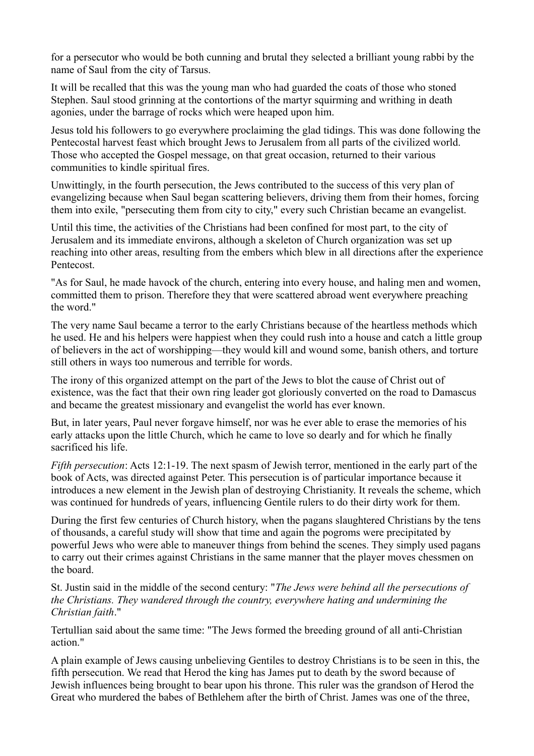for a persecutor who would be both cunning and brutal they selected a brilliant young rabbi by the name of Saul from the city of Tarsus.

It will be recalled that this was the young man who had guarded the coats of those who stoned Stephen. Saul stood grinning at the contortions of the martyr squirming and writhing in death agonies, under the barrage of rocks which were heaped upon him.

Jesus told his followers to go everywhere proclaiming the glad tidings. This was done following the Pentecostal harvest feast which brought Jews to Jerusalem from all parts of the civilized world. Those who accepted the Gospel message, on that great occasion, returned to their various communities to kindle spiritual fires.

Unwittingly, in the fourth persecution, the Jews contributed to the success of this very plan of evangelizing because when Saul began scattering believers, driving them from their homes, forcing them into exile, "persecuting them from city to city," every such Christian became an evangelist.

Until this time, the activities of the Christians had been confined for most part, to the city of Jerusalem and its immediate environs, although a skeleton of Church organization was set up reaching into other areas, resulting from the embers which blew in all directions after the experience Pentecost.

"As for Saul, he made havock of the church, entering into every house, and haling men and women, committed them to prison. Therefore they that were scattered abroad went everywhere preaching the word."

The very name Saul became a terror to the early Christians because of the heartless methods which he used. He and his helpers were happiest when they could rush into a house and catch a little group of believers in the act of worshipping—they would kill and wound some, banish others, and torture still others in ways too numerous and terrible for words.

The irony of this organized attempt on the part of the Jews to blot the cause of Christ out of existence, was the fact that their own ring leader got gloriously converted on the road to Damascus and became the greatest missionary and evangelist the world has ever known.

But, in later years, Paul never forgave himself, nor was he ever able to erase the memories of his early attacks upon the little Church, which he came to love so dearly and for which he finally sacrificed his life.

*Fifth persecution*: Acts 12:1-19. The next spasm of Jewish terror, mentioned in the early part of the book of Acts, was directed against Peter. This persecution is of particular importance because it introduces a new element in the Jewish plan of destroying Christianity. It reveals the scheme, which was continued for hundreds of years, influencing Gentile rulers to do their dirty work for them.

During the first few centuries of Church history, when the pagans slaughtered Christians by the tens of thousands, a careful study will show that time and again the pogroms were precipitated by powerful Jews who were able to maneuver things from behind the scenes. They simply used pagans to carry out their crimes against Christians in the same manner that the player moves chessmen on the board.

St. Justin said in the middle of the second century: "*The Jews were behind all the persecutions of the Christians. They wandered through the country, everywhere hating and undermining the Christian faith*."

Tertullian said about the same time: "The Jews formed the breeding ground of all anti-Christian action."

A plain example of Jews causing unbelieving Gentiles to destroy Christians is to be seen in this, the fifth persecution. We read that Herod the king has James put to death by the sword because of Jewish influences being brought to bear upon his throne. This ruler was the grandson of Herod the Great who murdered the babes of Bethlehem after the birth of Christ. James was one of the three,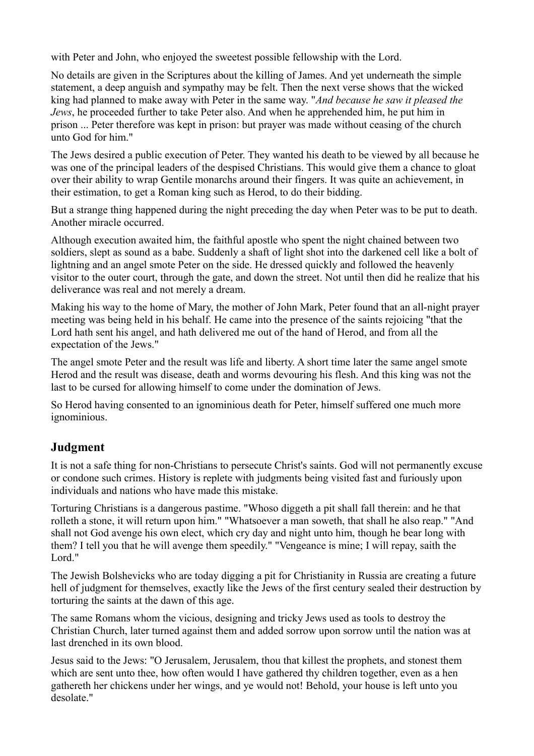with Peter and John, who enjoyed the sweetest possible fellowship with the Lord.

No details are given in the Scriptures about the killing of James. And yet underneath the simple statement, a deep anguish and sympathy may be felt. Then the next verse shows that the wicked king had planned to make away with Peter in the same way. "*And because he saw it pleased the Jews*, he proceeded further to take Peter also. And when he apprehended him, he put him in prison ... Peter therefore was kept in prison: but prayer was made without ceasing of the church unto God for him."

The Jews desired a public execution of Peter. They wanted his death to be viewed by all because he was one of the principal leaders of the despised Christians. This would give them a chance to gloat over their ability to wrap Gentile monarchs around their fingers. It was quite an achievement, in their estimation, to get a Roman king such as Herod, to do their bidding.

But a strange thing happened during the night preceding the day when Peter was to be put to death. Another miracle occurred.

Although execution awaited him, the faithful apostle who spent the night chained between two soldiers, slept as sound as a babe. Suddenly a shaft of light shot into the darkened cell like a bolt of lightning and an angel smote Peter on the side. He dressed quickly and followed the heavenly visitor to the outer court, through the gate, and down the street. Not until then did he realize that his deliverance was real and not merely a dream.

Making his way to the home of Mary, the mother of John Mark, Peter found that an all-night prayer meeting was being held in his behalf. He came into the presence of the saints rejoicing "that the Lord hath sent his angel, and hath delivered me out of the hand of Herod, and from all the expectation of the Jews."

The angel smote Peter and the result was life and liberty. A short time later the same angel smote Herod and the result was disease, death and worms devouring his flesh. And this king was not the last to be cursed for allowing himself to come under the domination of Jews.

So Herod having consented to an ignominious death for Peter, himself suffered one much more ignominious.

# **Judgment**

It is not a safe thing for non-Christians to persecute Christ's saints. God will not permanently excuse or condone such crimes. History is replete with judgments being visited fast and furiously upon individuals and nations who have made this mistake.

Torturing Christians is a dangerous pastime. "Whoso diggeth a pit shall fall therein: and he that rolleth a stone, it will return upon him." "Whatsoever a man soweth, that shall he also reap." "And shall not God avenge his own elect, which cry day and night unto him, though he bear long with them? I tell you that he will avenge them speedily." "Vengeance is mine; I will repay, saith the Lord<sup>"</sup>

The Jewish Bolshevicks who are today digging a pit for Christianity in Russia are creating a future hell of judgment for themselves, exactly like the Jews of the first century sealed their destruction by torturing the saints at the dawn of this age.

The same Romans whom the vicious, designing and tricky Jews used as tools to destroy the Christian Church, later turned against them and added sorrow upon sorrow until the nation was at last drenched in its own blood.

Jesus said to the Jews: "O Jerusalem, Jerusalem, thou that killest the prophets, and stonest them which are sent unto thee, how often would I have gathered thy children together, even as a hen gathereth her chickens under her wings, and ye would not! Behold, your house is left unto you desolate."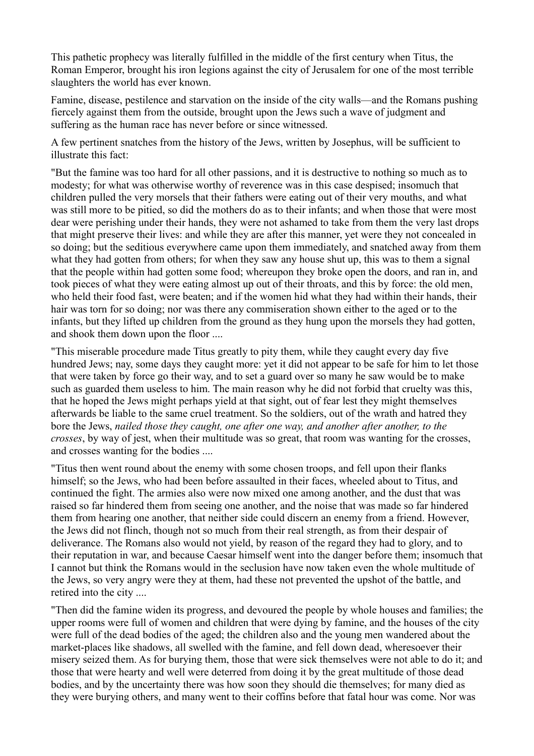This pathetic prophecy was literally fulfilled in the middle of the first century when Titus, the Roman Emperor, brought his iron legions against the city of Jerusalem for one of the most terrible slaughters the world has ever known.

Famine, disease, pestilence and starvation on the inside of the city walls—and the Romans pushing fiercely against them from the outside, brought upon the Jews such a wave of judgment and suffering as the human race has never before or since witnessed.

A few pertinent snatches from the history of the Jews, written by Josephus, will be sufficient to illustrate this fact:

"But the famine was too hard for all other passions, and it is destructive to nothing so much as to modesty; for what was otherwise worthy of reverence was in this case despised; insomuch that children pulled the very morsels that their fathers were eating out of their very mouths, and what was still more to be pitied, so did the mothers do as to their infants; and when those that were most dear were perishing under their hands, they were not ashamed to take from them the very last drops that might preserve their lives: and while they are after this manner, yet were they not concealed in so doing; but the seditious everywhere came upon them immediately, and snatched away from them what they had gotten from others; for when they saw any house shut up, this was to them a signal that the people within had gotten some food; whereupon they broke open the doors, and ran in, and took pieces of what they were eating almost up out of their throats, and this by force: the old men, who held their food fast, were beaten; and if the women hid what they had within their hands, their hair was torn for so doing; nor was there any commiseration shown either to the aged or to the infants, but they lifted up children from the ground as they hung upon the morsels they had gotten, and shook them down upon the floor ....

"This miserable procedure made Titus greatly to pity them, while they caught every day five hundred Jews; nay, some days they caught more: yet it did not appear to be safe for him to let those that were taken by force go their way, and to set a guard over so many he saw would be to make such as guarded them useless to him. The main reason why he did not forbid that cruelty was this, that he hoped the Jews might perhaps yield at that sight, out of fear lest they might themselves afterwards be liable to the same cruel treatment. So the soldiers, out of the wrath and hatred they bore the Jews, *nailed those they caught, one after one way, and another after another, to the crosses*, by way of jest, when their multitude was so great, that room was wanting for the crosses, and crosses wanting for the bodies ....

"Titus then went round about the enemy with some chosen troops, and fell upon their flanks himself; so the Jews, who had been before assaulted in their faces, wheeled about to Titus, and continued the fight. The armies also were now mixed one among another, and the dust that was raised so far hindered them from seeing one another, and the noise that was made so far hindered them from hearing one another, that neither side could discern an enemy from a friend. However, the Jews did not flinch, though not so much from their real strength, as from their despair of deliverance. The Romans also would not yield, by reason of the regard they had to glory, and to their reputation in war, and because Caesar himself went into the danger before them; insomuch that I cannot but think the Romans would in the seclusion have now taken even the whole multitude of the Jews, so very angry were they at them, had these not prevented the upshot of the battle, and retired into the city ....

"Then did the famine widen its progress, and devoured the people by whole houses and families; the upper rooms were full of women and children that were dying by famine, and the houses of the city were full of the dead bodies of the aged; the children also and the young men wandered about the market-places like shadows, all swelled with the famine, and fell down dead, wheresoever their misery seized them. As for burying them, those that were sick themselves were not able to do it; and those that were hearty and well were deterred from doing it by the great multitude of those dead bodies, and by the uncertainty there was how soon they should die themselves; for many died as they were burying others, and many went to their coffins before that fatal hour was come. Nor was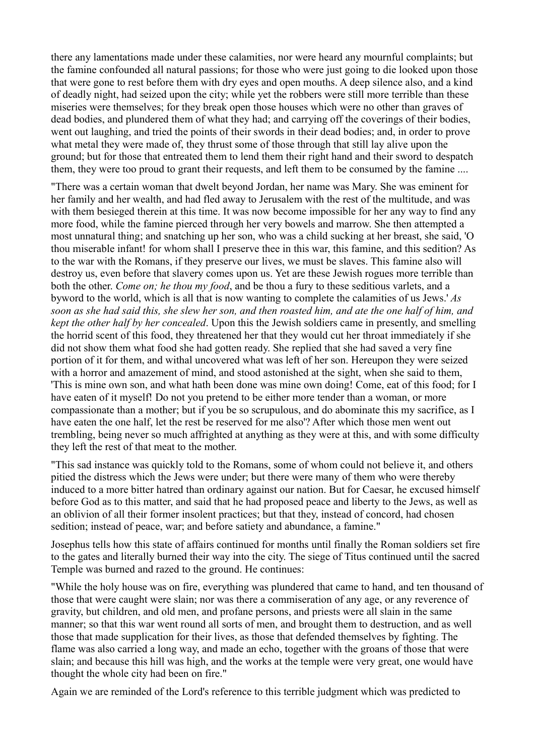there any lamentations made under these calamities, nor were heard any mournful complaints; but the famine confounded all natural passions; for those who were just going to die looked upon those that were gone to rest before them with dry eyes and open mouths. A deep silence also, and a kind of deadly night, had seized upon the city; while yet the robbers were still more terrible than these miseries were themselves; for they break open those houses which were no other than graves of dead bodies, and plundered them of what they had; and carrying off the coverings of their bodies, went out laughing, and tried the points of their swords in their dead bodies; and, in order to prove what metal they were made of, they thrust some of those through that still lay alive upon the ground; but for those that entreated them to lend them their right hand and their sword to despatch them, they were too proud to grant their requests, and left them to be consumed by the famine ....

"There was a certain woman that dwelt beyond Jordan, her name was Mary. She was eminent for her family and her wealth, and had fled away to Jerusalem with the rest of the multitude, and was with them besieged therein at this time. It was now become impossible for her any way to find any more food, while the famine pierced through her very bowels and marrow. She then attempted a most unnatural thing; and snatching up her son, who was a child sucking at her breast, she said, 'O thou miserable infant! for whom shall I preserve thee in this war, this famine, and this sedition? As to the war with the Romans, if they preserve our lives, we must be slaves. This famine also will destroy us, even before that slavery comes upon us. Yet are these Jewish rogues more terrible than both the other. *Come on; he thou my food*, and be thou a fury to these seditious varlets, and a byword to the world, which is all that is now wanting to complete the calamities of us Jews.' *As soon as she had said this, she slew her son, and then roasted him, and ate the one half of him, and kept the other half by her concealed*. Upon this the Jewish soldiers came in presently, and smelling the horrid scent of this food, they threatened her that they would cut her throat immediately if she did not show them what food she had gotten ready. She replied that she had saved a very fine portion of it for them, and withal uncovered what was left of her son. Hereupon they were seized with a horror and amazement of mind, and stood astonished at the sight, when she said to them, 'This is mine own son, and what hath been done was mine own doing! Come, eat of this food; for I have eaten of it myself! Do not you pretend to be either more tender than a woman, or more compassionate than a mother; but if you be so scrupulous, and do abominate this my sacrifice, as I have eaten the one half, let the rest be reserved for me also'? After which those men went out trembling, being never so much affrighted at anything as they were at this, and with some difficulty they left the rest of that meat to the mother.

"This sad instance was quickly told to the Romans, some of whom could not believe it, and others pitied the distress which the Jews were under; but there were many of them who were thereby induced to a more bitter hatred than ordinary against our nation. But for Caesar, he excused himself before God as to this matter, and said that he had proposed peace and liberty to the Jews, as well as an oblivion of all their former insolent practices; but that they, instead of concord, had chosen sedition; instead of peace, war; and before satiety and abundance, a famine."

Josephus tells how this state of affairs continued for months until finally the Roman soldiers set fire to the gates and literally burned their way into the city. The siege of Titus continued until the sacred Temple was burned and razed to the ground. He continues:

"While the holy house was on fire, everything was plundered that came to hand, and ten thousand of those that were caught were slain; nor was there a commiseration of any age, or any reverence of gravity, but children, and old men, and profane persons, and priests were all slain in the same manner; so that this war went round all sorts of men, and brought them to destruction, and as well those that made supplication for their lives, as those that defended themselves by fighting. The flame was also carried a long way, and made an echo, together with the groans of those that were slain; and because this hill was high, and the works at the temple were very great, one would have thought the whole city had been on fire."

Again we are reminded of the Lord's reference to this terrible judgment which was predicted to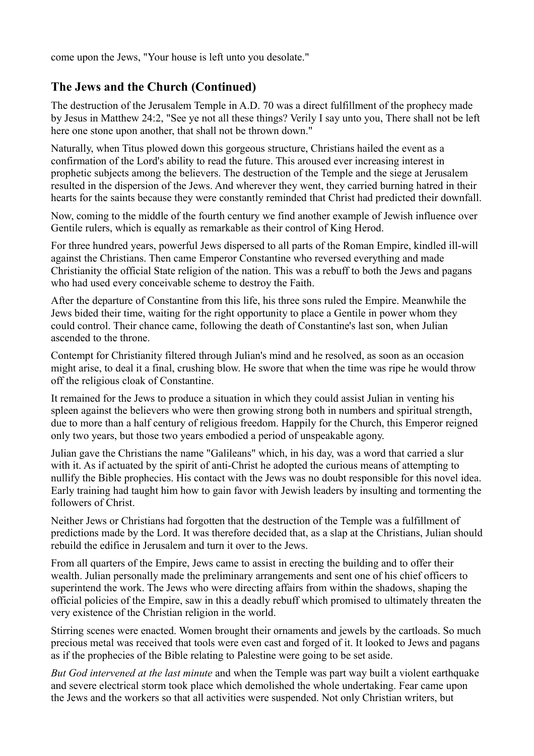come upon the Jews, "Your house is left unto you desolate."

### **The Jews and the Church (Continued)**

The destruction of the Jerusalem Temple in A.D. 70 was a direct fulfillment of the prophecy made by Jesus in Matthew 24:2, "See ye not all these things? Verily I say unto you, There shall not be left here one stone upon another, that shall not be thrown down."

Naturally, when Titus plowed down this gorgeous structure, Christians hailed the event as a confirmation of the Lord's ability to read the future. This aroused ever increasing interest in prophetic subjects among the believers. The destruction of the Temple and the siege at Jerusalem resulted in the dispersion of the Jews. And wherever they went, they carried burning hatred in their hearts for the saints because they were constantly reminded that Christ had predicted their downfall.

Now, coming to the middle of the fourth century we find another example of Jewish influence over Gentile rulers, which is equally as remarkable as their control of King Herod.

For three hundred years, powerful Jews dispersed to all parts of the Roman Empire, kindled ill-will against the Christians. Then came Emperor Constantine who reversed everything and made Christianity the official State religion of the nation. This was a rebuff to both the Jews and pagans who had used every conceivable scheme to destroy the Faith.

After the departure of Constantine from this life, his three sons ruled the Empire. Meanwhile the Jews bided their time, waiting for the right opportunity to place a Gentile in power whom they could control. Their chance came, following the death of Constantine's last son, when Julian ascended to the throne.

Contempt for Christianity filtered through Julian's mind and he resolved, as soon as an occasion might arise, to deal it a final, crushing blow. He swore that when the time was ripe he would throw off the religious cloak of Constantine.

It remained for the Jews to produce a situation in which they could assist Julian in venting his spleen against the believers who were then growing strong both in numbers and spiritual strength, due to more than a half century of religious freedom. Happily for the Church, this Emperor reigned only two years, but those two years embodied a period of unspeakable agony.

Julian gave the Christians the name "Galileans" which, in his day, was a word that carried a slur with it. As if actuated by the spirit of anti-Christ he adopted the curious means of attempting to nullify the Bible prophecies. His contact with the Jews was no doubt responsible for this novel idea. Early training had taught him how to gain favor with Jewish leaders by insulting and tormenting the followers of Christ.

Neither Jews or Christians had forgotten that the destruction of the Temple was a fulfillment of predictions made by the Lord. It was therefore decided that, as a slap at the Christians, Julian should rebuild the edifice in Jerusalem and turn it over to the Jews.

From all quarters of the Empire, Jews came to assist in erecting the building and to offer their wealth. Julian personally made the preliminary arrangements and sent one of his chief officers to superintend the work. The Jews who were directing affairs from within the shadows, shaping the official policies of the Empire, saw in this a deadly rebuff which promised to ultimately threaten the very existence of the Christian religion in the world.

Stirring scenes were enacted. Women brought their ornaments and jewels by the cartloads. So much precious metal was received that tools were even cast and forged of it. It looked to Jews and pagans as if the prophecies of the Bible relating to Palestine were going to be set aside.

*But God intervened at the last minute* and when the Temple was part way built a violent earthquake and severe electrical storm took place which demolished the whole undertaking. Fear came upon the Jews and the workers so that all activities were suspended. Not only Christian writers, but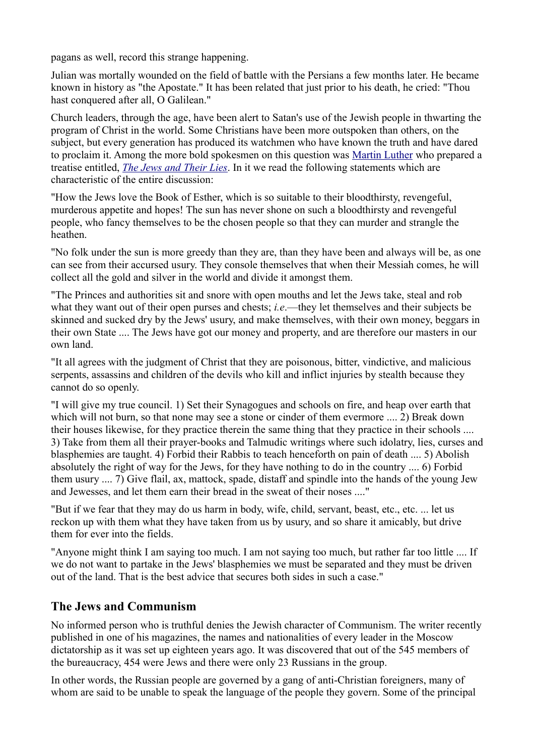pagans as well, record this strange happening.

Julian was mortally wounded on the field of battle with the Persians a few months later. He became known in history as "the Apostate." It has been related that just prior to his death, he cried: "Thou hast conquered after all, O Galilean."

Church leaders, through the age, have been alert to Satan's use of the Jewish people in thwarting the program of Christ in the world. Some Christians have been more outspoken than others, on the subject, but every generation has produced its watchmen who have known the truth and have dared to proclaim it. Among the more bold spokesmen on this question was [Martin Luther](http://greatwhitedesert.org/dir/index.php?title=Martin_Luther) who prepared a treatise entitled, *[The Jews and Their Lies](http://greatwhitedesert.org/dir/index.php?title=The_Jews_and_Their_Lies)*. In it we read the following statements which are characteristic of the entire discussion:

"How the Jews love the Book of Esther, which is so suitable to their bloodthirsty, revengeful, murderous appetite and hopes! The sun has never shone on such a bloodthirsty and revengeful people, who fancy themselves to be the chosen people so that they can murder and strangle the heathen.

"No folk under the sun is more greedy than they are, than they have been and always will be, as one can see from their accursed usury. They console themselves that when their Messiah comes, he will collect all the gold and silver in the world and divide it amongst them.

"The Princes and authorities sit and snore with open mouths and let the Jews take, steal and rob what they want out of their open purses and chests; *i.e.*—they let themselves and their subjects be skinned and sucked dry by the Jews' usury, and make themselves, with their own money, beggars in their own State .... The Jews have got our money and property, and are therefore our masters in our own land.

"It all agrees with the judgment of Christ that they are poisonous, bitter, vindictive, and malicious serpents, assassins and children of the devils who kill and inflict injuries by stealth because they cannot do so openly.

"I will give my true council. 1) Set their Synagogues and schools on fire, and heap over earth that which will not burn, so that none may see a stone or cinder of them evermore .... 2) Break down their houses likewise, for they practice therein the same thing that they practice in their schools .... 3) Take from them all their prayer-books and Talmudic writings where such idolatry, lies, curses and blasphemies are taught. 4) Forbid their Rabbis to teach henceforth on pain of death .... 5) Abolish absolutely the right of way for the Jews, for they have nothing to do in the country .... 6) Forbid them usury .... 7) Give flail, ax, mattock, spade, distaff and spindle into the hands of the young Jew and Jewesses, and let them earn their bread in the sweat of their noses ...."

"But if we fear that they may do us harm in body, wife, child, servant, beast, etc., etc. ... let us reckon up with them what they have taken from us by usury, and so share it amicably, but drive them for ever into the fields.

"Anyone might think I am saying too much. I am not saying too much, but rather far too little .... If we do not want to partake in the Jews' blasphemies we must be separated and they must be driven out of the land. That is the best advice that secures both sides in such a case."

#### **The Jews and Communism**

No informed person who is truthful denies the Jewish character of Communism. The writer recently published in one of his magazines, the names and nationalities of every leader in the Moscow dictatorship as it was set up eighteen years ago. It was discovered that out of the 545 members of the bureaucracy, 454 were Jews and there were only 23 Russians in the group.

In other words, the Russian people are governed by a gang of anti-Christian foreigners, many of whom are said to be unable to speak the language of the people they govern. Some of the principal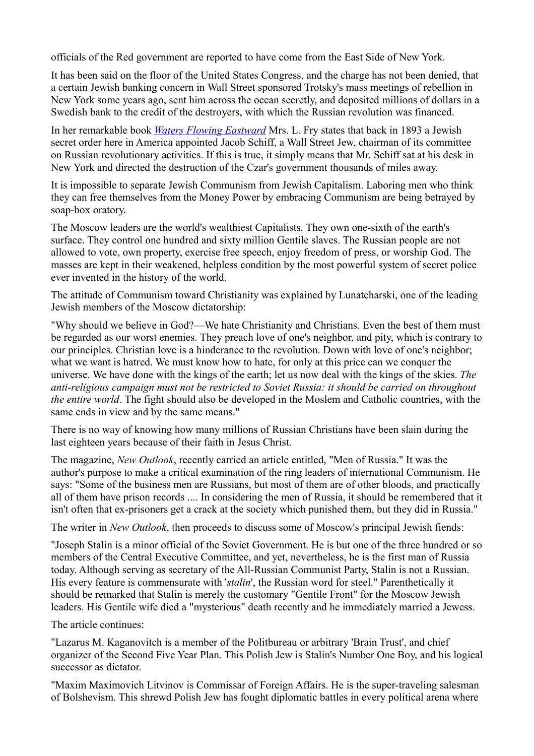officials of the Red government are reported to have come from the East Side of New York.

It has been said on the floor of the United States Congress, and the charge has not been denied, that a certain Jewish banking concern in Wall Street sponsored Trotsky's mass meetings of rebellion in New York some years ago, sent him across the ocean secretly, and deposited millions of dollars in a Swedish bank to the credit of the destroyers, with which the Russian revolution was financed.

In her remarkable book *[Waters Flowing Eastward](http://www.greatwhitedesert.org/documents/Fry_-_Waters_Flowing_Eastward.pdf)* Mrs. L. Fry states that back in 1893 a Jewish secret order here in America appointed Jacob Schiff, a Wall Street Jew, chairman of its committee on Russian revolutionary activities. If this is true, it simply means that Mr. Schiff sat at his desk in New York and directed the destruction of the Czar's government thousands of miles away.

It is impossible to separate Jewish Communism from Jewish Capitalism. Laboring men who think they can free themselves from the Money Power by embracing Communism are being betrayed by soap-box oratory.

The Moscow leaders are the world's wealthiest Capitalists. They own one-sixth of the earth's surface. They control one hundred and sixty million Gentile slaves. The Russian people are not allowed to vote, own property, exercise free speech, enjoy freedom of press, or worship God. The masses are kept in their weakened, helpless condition by the most powerful system of secret police ever invented in the history of the world.

The attitude of Communism toward Christianity was explained by Lunatcharski, one of the leading Jewish members of the Moscow dictatorship:

"Why should we believe in God?—We hate Christianity and Christians. Even the best of them must be regarded as our worst enemies. They preach love of one's neighbor, and pity, which is contrary to our principles. Christian love is a hinderance to the revolution. Down with love of one's neighbor; what we want is hatred. We must know how to hate, for only at this price can we conquer the universe. We have done with the kings of the earth; let us now deal with the kings of the skies. *The anti-religious campaign must not be restricted to Soviet Russia: it should be carried on throughout the entire world*. The fight should also be developed in the Moslem and Catholic countries, with the same ends in view and by the same means."

There is no way of knowing how many millions of Russian Christians have been slain during the last eighteen years because of their faith in Jesus Christ.

The magazine, *New Outlook*, recently carried an article entitled, "Men of Russia." It was the author's purpose to make a critical examination of the ring leaders of international Communism. He says: "Some of the business men are Russians, but most of them are of other bloods, and practically all of them have prison records .... In considering the men of Russia, it should be remembered that it isn't often that ex-prisoners get a crack at the society which punished them, but they did in Russia."

The writer in *New Outlook*, then proceeds to discuss some of Moscow's principal Jewish fiends:

"Joseph Stalin is a minor official of the Soviet Government. He is but one of the three hundred or so members of the Central Executive Committee, and yet, nevertheless, he is the first man of Russia today. Although serving as secretary of the All-Russian Communist Party, Stalin is not a Russian. His every feature is commensurate with '*stalin*', the Russian word for steel." Parenthetically it should be remarked that Stalin is merely the customary "Gentile Front" for the Moscow Jewish leaders. His Gentile wife died a "mysterious" death recently and he immediately married a Jewess.

The article continues:

"Lazarus M. Kaganovitch is a member of the Politbureau or arbitrary 'Brain Trust', and chief organizer of the Second Five Year Plan. This Polish Jew is Stalin's Number One Boy, and his logical successor as dictator.

"Maxim Maximovich Litvinov is Commissar of Foreign Affairs. He is the super-traveling salesman of Bolshevism. This shrewd Polish Jew has fought diplomatic battles in every political arena where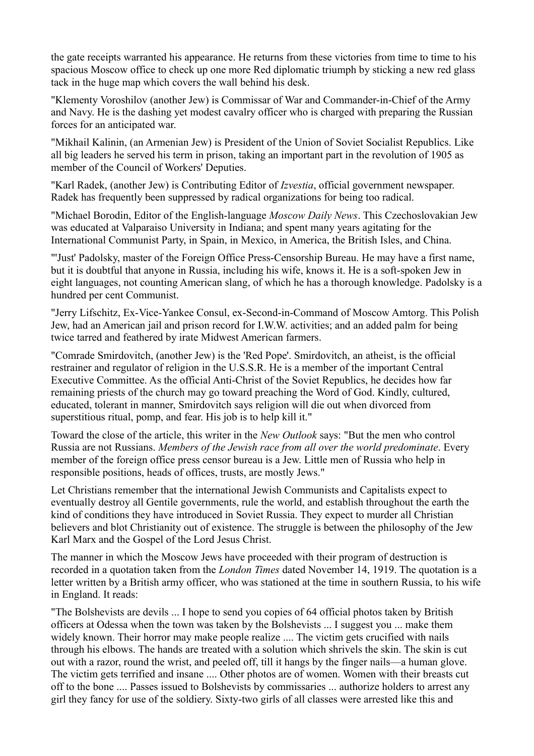the gate receipts warranted his appearance. He returns from these victories from time to time to his spacious Moscow office to check up one more Red diplomatic triumph by sticking a new red glass tack in the huge map which covers the wall behind his desk.

"Klementy Voroshilov (another Jew) is Commissar of War and Commander-in-Chief of the Army and Navy. He is the dashing yet modest cavalry officer who is charged with preparing the Russian forces for an anticipated war.

"Mikhail Kalinin, (an Armenian Jew) is President of the Union of Soviet Socialist Republics. Like all big leaders he served his term in prison, taking an important part in the revolution of 1905 as member of the Council of Workers' Deputies.

"Karl Radek, (another Jew) is Contributing Editor of *Izvestia*, official government newspaper. Radek has frequently been suppressed by radical organizations for being too radical.

"Michael Borodin, Editor of the English-language *Moscow Daily News*. This Czechoslovakian Jew was educated at Valparaiso University in Indiana; and spent many years agitating for the International Communist Party, in Spain, in Mexico, in America, the British Isles, and China.

"'Just' Padolsky, master of the Foreign Office Press-Censorship Bureau. He may have a first name, but it is doubtful that anyone in Russia, including his wife, knows it. He is a soft-spoken Jew in eight languages, not counting American slang, of which he has a thorough knowledge. Padolsky is a hundred per cent Communist.

"Jerry Lifschitz, Ex-Vice-Yankee Consul, ex-Second-in-Command of Moscow Amtorg. This Polish Jew, had an American jail and prison record for I.W.W. activities; and an added palm for being twice tarred and feathered by irate Midwest American farmers.

"Comrade Smirdovitch, (another Jew) is the 'Red Pope'. Smirdovitch, an atheist, is the official restrainer and regulator of religion in the U.S.S.R. He is a member of the important Central Executive Committee. As the official Anti-Christ of the Soviet Republics, he decides how far remaining priests of the church may go toward preaching the Word of God. Kindly, cultured, educated, tolerant in manner, Smirdovitch says religion will die out when divorced from superstitious ritual, pomp, and fear. His job is to help kill it."

Toward the close of the article, this writer in the *New Outlook* says: "But the men who control Russia are not Russians. *Members of the Jewish race from all over the world predominate*. Every member of the foreign office press censor bureau is a Jew. Little men of Russia who help in responsible positions, heads of offices, trusts, are mostly Jews."

Let Christians remember that the international Jewish Communists and Capitalists expect to eventually destroy all Gentile governments, rule the world, and establish throughout the earth the kind of conditions they have introduced in Soviet Russia. They expect to murder all Christian believers and blot Christianity out of existence. The struggle is between the philosophy of the Jew Karl Marx and the Gospel of the Lord Jesus Christ.

The manner in which the Moscow Jews have proceeded with their program of destruction is recorded in a quotation taken from the *London Times* dated November 14, 1919. The quotation is a letter written by a British army officer, who was stationed at the time in southern Russia, to his wife in England. It reads:

"The Bolshevists are devils ... I hope to send you copies of 64 official photos taken by British officers at Odessa when the town was taken by the Bolshevists ... I suggest you ... make them widely known. Their horror may make people realize .... The victim gets crucified with nails through his elbows. The hands are treated with a solution which shrivels the skin. The skin is cut out with a razor, round the wrist, and peeled off, till it hangs by the finger nails—a human glove. The victim gets terrified and insane .... Other photos are of women. Women with their breasts cut off to the bone .... Passes issued to Bolshevists by commissaries ... authorize holders to arrest any girl they fancy for use of the soldiery. Sixty-two girls of all classes were arrested like this and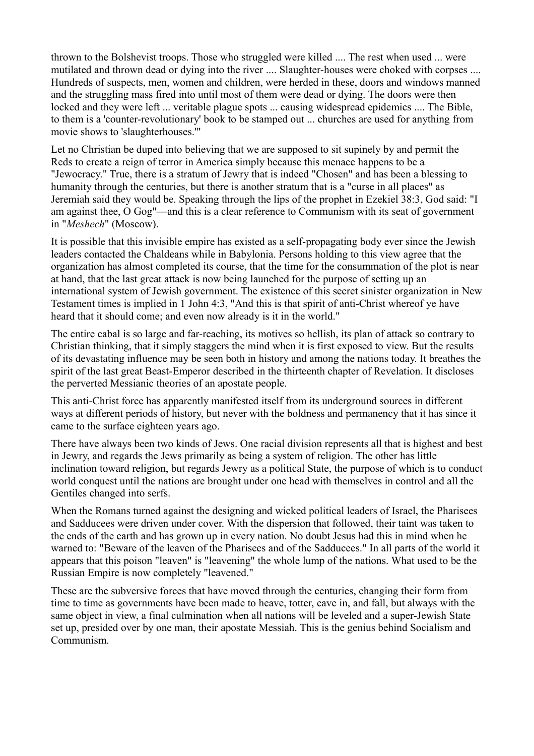thrown to the Bolshevist troops. Those who struggled were killed .... The rest when used ... were mutilated and thrown dead or dying into the river .... Slaughter-houses were choked with corpses .... Hundreds of suspects, men, women and children, were herded in these, doors and windows manned and the struggling mass fired into until most of them were dead or dying. The doors were then locked and they were left ... veritable plague spots ... causing widespread epidemics .... The Bible, to them is a 'counter-revolutionary' book to be stamped out ... churches are used for anything from movie shows to 'slaughterhouses.'"

Let no Christian be duped into believing that we are supposed to sit supinely by and permit the Reds to create a reign of terror in America simply because this menace happens to be a "Jewocracy." True, there is a stratum of Jewry that is indeed "Chosen" and has been a blessing to humanity through the centuries, but there is another stratum that is a "curse in all places" as Jeremiah said they would be. Speaking through the lips of the prophet in Ezekiel 38:3, God said: "I am against thee, O Gog"—and this is a clear reference to Communism with its seat of government in "*Meshech*" (Moscow).

It is possible that this invisible empire has existed as a self-propagating body ever since the Jewish leaders contacted the Chaldeans while in Babylonia. Persons holding to this view agree that the organization has almost completed its course, that the time for the consummation of the plot is near at hand, that the last great attack is now being launched for the purpose of setting up an international system of Jewish government. The existence of this secret sinister organization in New Testament times is implied in 1 John 4:3, "And this is that spirit of anti-Christ whereof ye have heard that it should come; and even now already is it in the world."

The entire cabal is so large and far-reaching, its motives so hellish, its plan of attack so contrary to Christian thinking, that it simply staggers the mind when it is first exposed to view. But the results of its devastating influence may be seen both in history and among the nations today. It breathes the spirit of the last great Beast-Emperor described in the thirteenth chapter of Revelation. It discloses the perverted Messianic theories of an apostate people.

This anti-Christ force has apparently manifested itself from its underground sources in different ways at different periods of history, but never with the boldness and permanency that it has since it came to the surface eighteen years ago.

There have always been two kinds of Jews. One racial division represents all that is highest and best in Jewry, and regards the Jews primarily as being a system of religion. The other has little inclination toward religion, but regards Jewry as a political State, the purpose of which is to conduct world conquest until the nations are brought under one head with themselves in control and all the Gentiles changed into serfs.

When the Romans turned against the designing and wicked political leaders of Israel, the Pharisees and Sadducees were driven under cover. With the dispersion that followed, their taint was taken to the ends of the earth and has grown up in every nation. No doubt Jesus had this in mind when he warned to: "Beware of the leaven of the Pharisees and of the Sadducees." In all parts of the world it appears that this poison "leaven" is "leavening" the whole lump of the nations. What used to be the Russian Empire is now completely "leavened."

These are the subversive forces that have moved through the centuries, changing their form from time to time as governments have been made to heave, totter, cave in, and fall, but always with the same object in view, a final culmination when all nations will be leveled and a super-Jewish State set up, presided over by one man, their apostate Messiah. This is the genius behind Socialism and Communism.